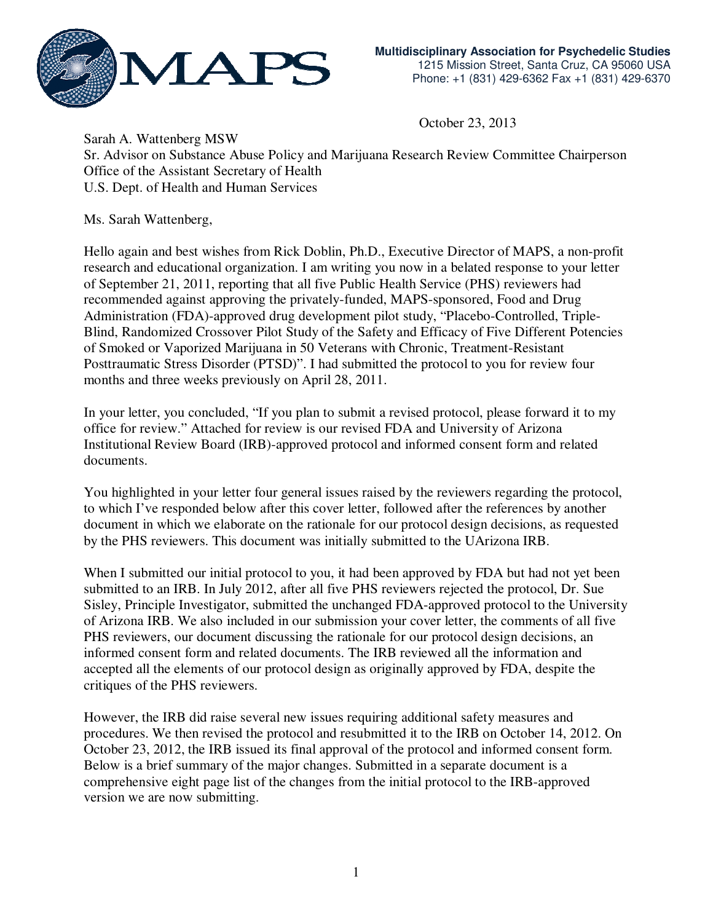

October 23, 2013

Sarah A. Wattenberg MSW Sr. Advisor on Substance Abuse Policy and Marijuana Research Review Committee Chairperson Office of the Assistant Secretary of Health U.S. Dept. of Health and Human Services

Ms. Sarah Wattenberg,

Hello again and best wishes from Rick Doblin, Ph.D., Executive Director of MAPS, a non-profit research and educational organization. I am writing you now in a belated response to your letter of September 21, 2011, reporting that all five Public Health Service (PHS) reviewers had recommended against approving the privately-funded, MAPS-sponsored, Food and Drug Administration (FDA)-approved drug development pilot study, "Placebo-Controlled, Triple-Blind, Randomized Crossover Pilot Study of the Safety and Efficacy of Five Different Potencies of Smoked or Vaporized Marijuana in 50 Veterans with Chronic, Treatment-Resistant Posttraumatic Stress Disorder (PTSD)". I had submitted the protocol to you for review four months and three weeks previously on April 28, 2011.

In your letter, you concluded, "If you plan to submit a revised protocol, please forward it to my office for review." Attached for review is our revised FDA and University of Arizona Institutional Review Board (IRB)-approved protocol and informed consent form and related documents.

You highlighted in your letter four general issues raised by the reviewers regarding the protocol, to which I've responded below after this cover letter, followed after the references by another document in which we elaborate on the rationale for our protocol design decisions, as requested by the PHS reviewers. This document was initially submitted to the UArizona IRB.

When I submitted our initial protocol to you, it had been approved by FDA but had not yet been submitted to an IRB. In July 2012, after all five PHS reviewers rejected the protocol, Dr. Sue Sisley, Principle Investigator, submitted the unchanged FDA-approved protocol to the University of Arizona IRB. We also included in our submission your cover letter, the comments of all five PHS reviewers, our document discussing the rationale for our protocol design decisions, an informed consent form and related documents. The IRB reviewed all the information and accepted all the elements of our protocol design as originally approved by FDA, despite the critiques of the PHS reviewers.

However, the IRB did raise several new issues requiring additional safety measures and procedures. We then revised the protocol and resubmitted it to the IRB on October 14, 2012. On October 23, 2012, the IRB issued its final approval of the protocol and informed consent form. Below is a brief summary of the major changes. Submitted in a separate document is a comprehensive eight page list of the changes from the initial protocol to the IRB-approved version we are now submitting.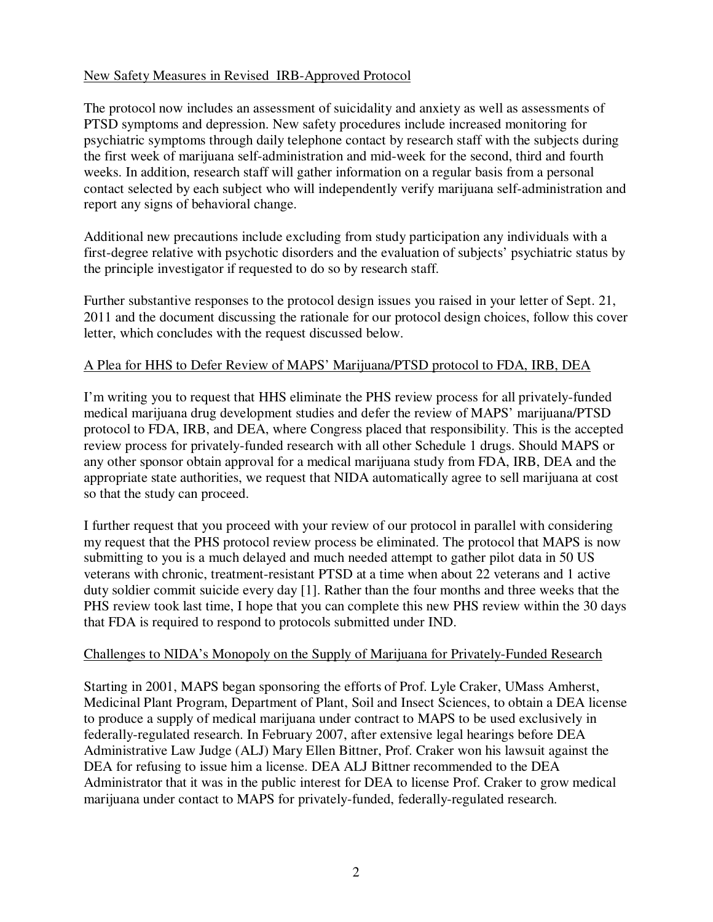## New Safety Measures in Revised IRB-Approved Protocol

The protocol now includes an assessment of suicidality and anxiety as well as assessments of PTSD symptoms and depression. New safety procedures include increased monitoring for psychiatric symptoms through daily telephone contact by research staff with the subjects during the first week of marijuana self-administration and mid-week for the second, third and fourth weeks. In addition, research staff will gather information on a regular basis from a personal contact selected by each subject who will independently verify marijuana self-administration and report any signs of behavioral change.

Additional new precautions include excluding from study participation any individuals with a first-degree relative with psychotic disorders and the evaluation of subjects' psychiatric status by the principle investigator if requested to do so by research staff.

Further substantive responses to the protocol design issues you raised in your letter of Sept. 21, 2011 and the document discussing the rationale for our protocol design choices, follow this cover letter, which concludes with the request discussed below.

# A Plea for HHS to Defer Review of MAPS' Marijuana/PTSD protocol to FDA, IRB, DEA

I'm writing you to request that HHS eliminate the PHS review process for all privately-funded medical marijuana drug development studies and defer the review of MAPS' marijuana/PTSD protocol to FDA, IRB, and DEA, where Congress placed that responsibility. This is the accepted review process for privately-funded research with all other Schedule 1 drugs. Should MAPS or any other sponsor obtain approval for a medical marijuana study from FDA, IRB, DEA and the appropriate state authorities, we request that NIDA automatically agree to sell marijuana at cost so that the study can proceed.

I further request that you proceed with your review of our protocol in parallel with considering my request that the PHS protocol review process be eliminated. The protocol that MAPS is now submitting to you is a much delayed and much needed attempt to gather pilot data in 50 US veterans with chronic, treatment-resistant PTSD at a time when about 22 veterans and 1 active duty soldier commit suicide every day [1]. Rather than the four months and three weeks that the PHS review took last time, I hope that you can complete this new PHS review within the 30 days that FDA is required to respond to protocols submitted under IND.

### Challenges to NIDA's Monopoly on the Supply of Marijuana for Privately-Funded Research

Starting in 2001, MAPS began sponsoring the efforts of Prof. Lyle Craker, UMass Amherst, Medicinal Plant Program, Department of Plant, Soil and Insect Sciences, to obtain a DEA license to produce a supply of medical marijuana under contract to MAPS to be used exclusively in federally-regulated research. In February 2007, after extensive legal hearings before DEA Administrative Law Judge (ALJ) Mary Ellen Bittner, Prof. Craker won his lawsuit against the DEA for refusing to issue him a license. DEA ALJ Bittner recommended to the DEA Administrator that it was in the public interest for DEA to license Prof. Craker to grow medical marijuana under contact to MAPS for privately-funded, federally-regulated research.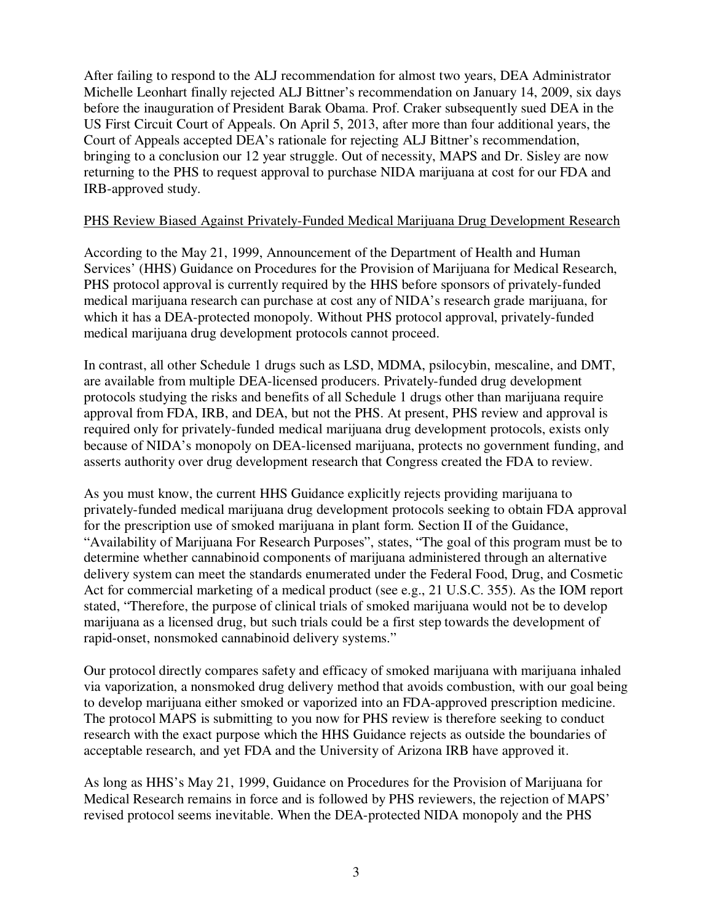After failing to respond to the ALJ recommendation for almost two years, DEA Administrator Michelle Leonhart finally rejected ALJ Bittner's recommendation on January 14, 2009, six days before the inauguration of President Barak Obama. Prof. Craker subsequently sued DEA in the US First Circuit Court of Appeals. On April 5, 2013, after more than four additional years, the Court of Appeals accepted DEA's rationale for rejecting ALJ Bittner's recommendation, bringing to a conclusion our 12 year struggle. Out of necessity, MAPS and Dr. Sisley are now returning to the PHS to request approval to purchase NIDA marijuana at cost for our FDA and IRB-approved study.

## PHS Review Biased Against Privately-Funded Medical Marijuana Drug Development Research

According to the May 21, 1999, Announcement of the Department of Health and Human Services' (HHS) Guidance on Procedures for the Provision of Marijuana for Medical Research, PHS protocol approval is currently required by the HHS before sponsors of privately-funded medical marijuana research can purchase at cost any of NIDA's research grade marijuana, for which it has a DEA-protected monopoly. Without PHS protocol approval, privately-funded medical marijuana drug development protocols cannot proceed.

In contrast, all other Schedule 1 drugs such as LSD, MDMA, psilocybin, mescaline, and DMT, are available from multiple DEA-licensed producers. Privately-funded drug development protocols studying the risks and benefits of all Schedule 1 drugs other than marijuana require approval from FDA, IRB, and DEA, but not the PHS. At present, PHS review and approval is required only for privately-funded medical marijuana drug development protocols, exists only because of NIDA's monopoly on DEA-licensed marijuana, protects no government funding, and asserts authority over drug development research that Congress created the FDA to review.

As you must know, the current HHS Guidance explicitly rejects providing marijuana to privately-funded medical marijuana drug development protocols seeking to obtain FDA approval for the prescription use of smoked marijuana in plant form. Section II of the Guidance, "Availability of Marijuana For Research Purposes", states, "The goal of this program must be to determine whether cannabinoid components of marijuana administered through an alternative delivery system can meet the standards enumerated under the Federal Food, Drug, and Cosmetic Act for commercial marketing of a medical product (see e.g., 21 U.S.C. 355). As the IOM report stated, "Therefore, the purpose of clinical trials of smoked marijuana would not be to develop marijuana as a licensed drug, but such trials could be a first step towards the development of rapid-onset, nonsmoked cannabinoid delivery systems."

Our protocol directly compares safety and efficacy of smoked marijuana with marijuana inhaled via vaporization, a nonsmoked drug delivery method that avoids combustion, with our goal being to develop marijuana either smoked or vaporized into an FDA-approved prescription medicine. The protocol MAPS is submitting to you now for PHS review is therefore seeking to conduct research with the exact purpose which the HHS Guidance rejects as outside the boundaries of acceptable research, and yet FDA and the University of Arizona IRB have approved it.

As long as HHS's May 21, 1999, Guidance on Procedures for the Provision of Marijuana for Medical Research remains in force and is followed by PHS reviewers, the rejection of MAPS' revised protocol seems inevitable. When the DEA-protected NIDA monopoly and the PHS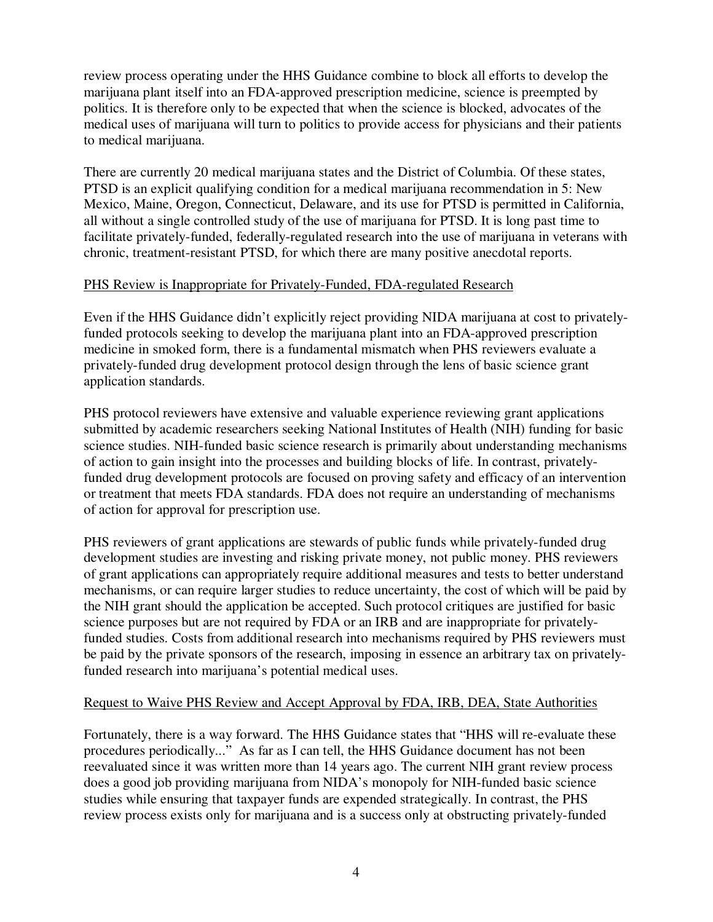review process operating under the HHS Guidance combine to block all efforts to develop the marijuana plant itself into an FDA-approved prescription medicine, science is preempted by politics. It is therefore only to be expected that when the science is blocked, advocates of the medical uses of marijuana will turn to politics to provide access for physicians and their patients to medical marijuana.

There are currently 20 medical marijuana states and the District of Columbia. Of these states, PTSD is an explicit qualifying condition for a medical marijuana recommendation in 5: New Mexico, Maine, Oregon, Connecticut, Delaware, and its use for PTSD is permitted in California, all without a single controlled study of the use of marijuana for PTSD. It is long past time to facilitate privately-funded, federally-regulated research into the use of marijuana in veterans with chronic, treatment-resistant PTSD, for which there are many positive anecdotal reports.

## PHS Review is Inappropriate for Privately-Funded, FDA-regulated Research

Even if the HHS Guidance didn't explicitly reject providing NIDA marijuana at cost to privatelyfunded protocols seeking to develop the marijuana plant into an FDA-approved prescription medicine in smoked form, there is a fundamental mismatch when PHS reviewers evaluate a privately-funded drug development protocol design through the lens of basic science grant application standards.

PHS protocol reviewers have extensive and valuable experience reviewing grant applications submitted by academic researchers seeking National Institutes of Health (NIH) funding for basic science studies. NIH-funded basic science research is primarily about understanding mechanisms of action to gain insight into the processes and building blocks of life. In contrast, privatelyfunded drug development protocols are focused on proving safety and efficacy of an intervention or treatment that meets FDA standards. FDA does not require an understanding of mechanisms of action for approval for prescription use.

PHS reviewers of grant applications are stewards of public funds while privately-funded drug development studies are investing and risking private money, not public money. PHS reviewers of grant applications can appropriately require additional measures and tests to better understand mechanisms, or can require larger studies to reduce uncertainty, the cost of which will be paid by the NIH grant should the application be accepted. Such protocol critiques are justified for basic science purposes but are not required by FDA or an IRB and are inappropriate for privatelyfunded studies. Costs from additional research into mechanisms required by PHS reviewers must be paid by the private sponsors of the research, imposing in essence an arbitrary tax on privatelyfunded research into marijuana's potential medical uses.

### Request to Waive PHS Review and Accept Approval by FDA, IRB, DEA, State Authorities

Fortunately, there is a way forward. The HHS Guidance states that "HHS will re-evaluate these procedures periodically..." As far as I can tell, the HHS Guidance document has not been reevaluated since it was written more than 14 years ago. The current NIH grant review process does a good job providing marijuana from NIDA's monopoly for NIH-funded basic science studies while ensuring that taxpayer funds are expended strategically. In contrast, the PHS review process exists only for marijuana and is a success only at obstructing privately-funded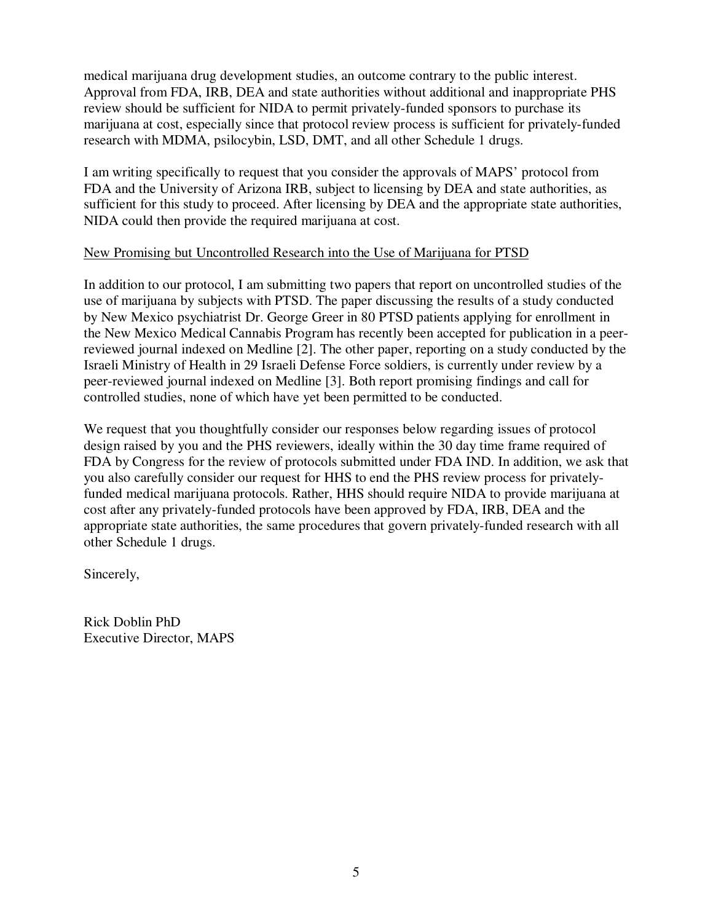medical marijuana drug development studies, an outcome contrary to the public interest. Approval from FDA, IRB, DEA and state authorities without additional and inappropriate PHS review should be sufficient for NIDA to permit privately-funded sponsors to purchase its marijuana at cost, especially since that protocol review process is sufficient for privately-funded research with MDMA, psilocybin, LSD, DMT, and all other Schedule 1 drugs.

I am writing specifically to request that you consider the approvals of MAPS' protocol from FDA and the University of Arizona IRB, subject to licensing by DEA and state authorities, as sufficient for this study to proceed. After licensing by DEA and the appropriate state authorities, NIDA could then provide the required marijuana at cost.

### New Promising but Uncontrolled Research into the Use of Marijuana for PTSD

In addition to our protocol, I am submitting two papers that report on uncontrolled studies of the use of marijuana by subjects with PTSD. The paper discussing the results of a study conducted by New Mexico psychiatrist Dr. George Greer in 80 PTSD patients applying for enrollment in the New Mexico Medical Cannabis Program has recently been accepted for publication in a peerreviewed journal indexed on Medline [2]. The other paper, reporting on a study conducted by the Israeli Ministry of Health in 29 Israeli Defense Force soldiers, is currently under review by a peer-reviewed journal indexed on Medline [3]. Both report promising findings and call for controlled studies, none of which have yet been permitted to be conducted.

We request that you thoughtfully consider our responses below regarding issues of protocol design raised by you and the PHS reviewers, ideally within the 30 day time frame required of FDA by Congress for the review of protocols submitted under FDA IND. In addition, we ask that you also carefully consider our request for HHS to end the PHS review process for privatelyfunded medical marijuana protocols. Rather, HHS should require NIDA to provide marijuana at cost after any privately-funded protocols have been approved by FDA, IRB, DEA and the appropriate state authorities, the same procedures that govern privately-funded research with all other Schedule 1 drugs.

Sincerely,

Rick Doblin PhD Executive Director, MAPS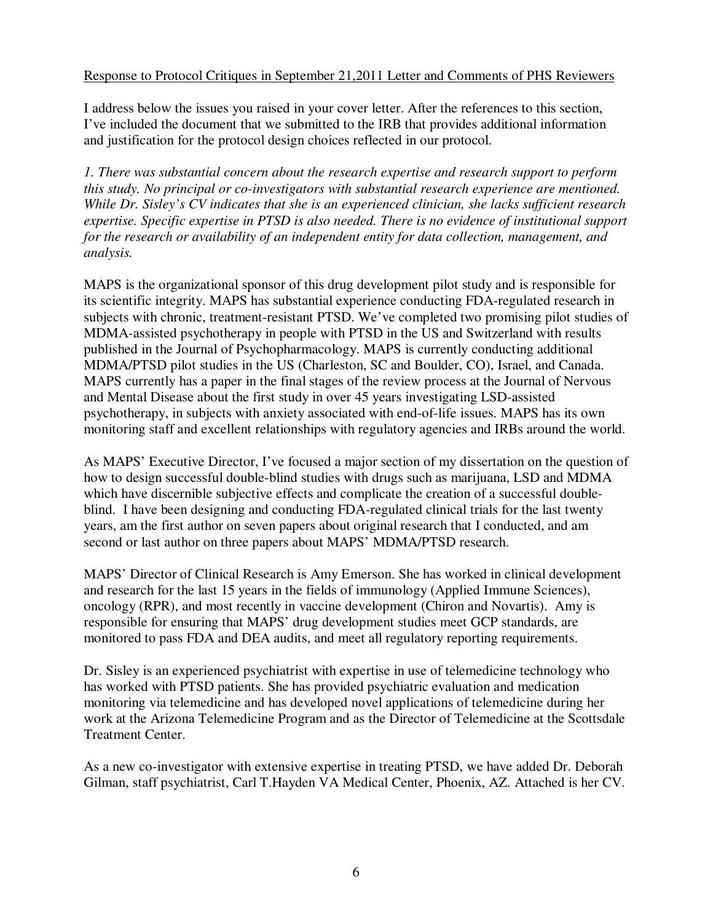## Response to Protocol Critiques in September 21,2011 Letter and Comments of PHS Reviewers

I address below the issues you raised in your cover letter. After the references to this section, I've included the document that we submitted to the IRB that provides additional information and justification for the protocol design choices reflected in our protocol.

*1. There was substantial concern about the research expertise and research support to perform this study. No principal or co-investigators with substantial research experience are mentioned. While Dr. Sisley's CV indicates that she is an experienced clinician, she lacks sufficient research expertise. Specific expertise in PTSD is also needed. There is no evidence of institutional support for the research or availability of an independent entity for data collection, management, and analysis.* 

MAPS is the organizational sponsor of this drug development pilot study and is responsible for its scientific integrity. MAPS has substantial experience conducting FDA-regulated research in subjects with chronic, treatment-resistant PTSD. We've completed two promising pilot studies of MDMA-assisted psychotherapy in people with PTSD in the US and Switzerland with results published in the Journal of Psychopharmacology. MAPS is currently conducting additional MDMA/PTSD pilot studies in the US (Charleston, SC and Boulder, CO), Israel, and Canada. MAPS currently has a paper in the final stages of the review process at the Journal of Nervous and Mental Disease about the first study in over 45 years investigating LSD-assisted psychotherapy, in subjects with anxiety associated with end-of-life issues. MAPS has its own monitoring staff and excellent relationships with regulatory agencies and IRBs around the world.

As MAPS' Executive Director, I've focused a major section of my dissertation on the question of how to design successful double-blind studies with drugs such as marijuana, LSD and MDMA which have discernible subjective effects and complicate the creation of a successful doubleblind. I have been designing and conducting FDA-regulated clinical trials for the last twenty years, am the first author on seven papers about original research that I conducted, and am second or last author on three papers about MAPS' MDMA/PTSD research.

MAPS' Director of Clinical Research is Amy Emerson. She has worked in clinical development and research for the last 15 years in the fields of immunology (Applied Immune Sciences), oncology (RPR), and most recently in vaccine development (Chiron and Novartis). Amy is responsible for ensuring that MAPS' drug development studies meet GCP standards, are monitored to pass FDA and DEA audits, and meet all regulatory reporting requirements.

Dr. Sisley is an experienced psychiatrist with expertise in use of telemedicine technology who has worked with PTSD patients. She has provided psychiatric evaluation and medication monitoring via telemedicine and has developed novel applications of telemedicine during her work at the Arizona Telemedicine Program and as the Director of Telemedicine at the Scottsdale Treatment Center.

As a new co-investigator with extensive expertise in treating PTSD, we have added Dr. Deborah Gilman, staff psychiatrist, Carl T.Hayden VA Medical Center, Phoenix, AZ. Attached is her CV.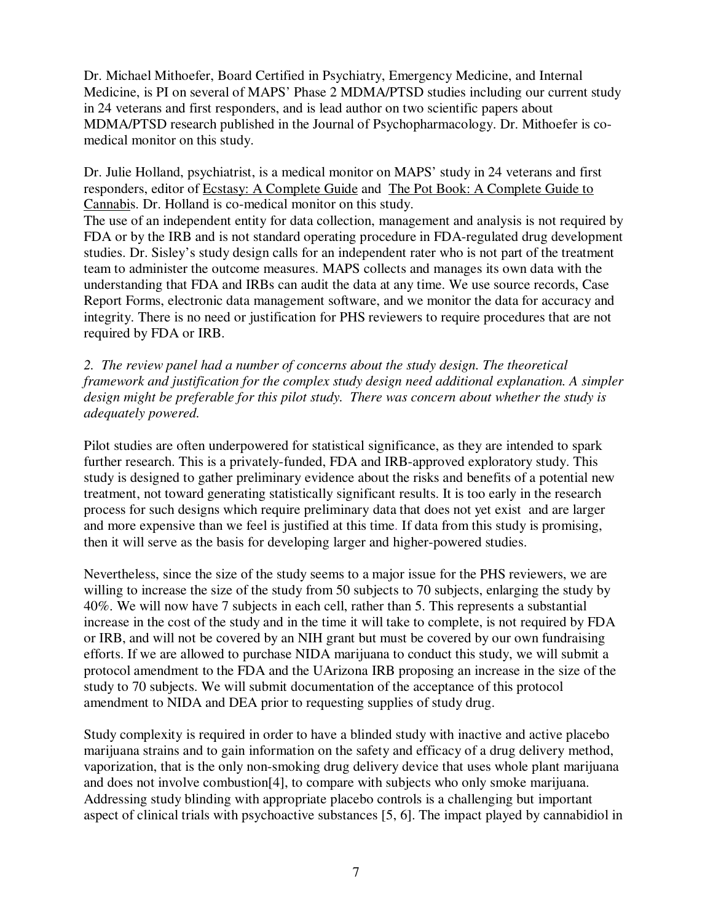Dr. Michael Mithoefer, Board Certified in Psychiatry, Emergency Medicine, and Internal Medicine, is PI on several of MAPS' Phase 2 MDMA/PTSD studies including our current study in 24 veterans and first responders, and is lead author on two scientific papers about MDMA/PTSD research published in the Journal of Psychopharmacology. Dr. Mithoefer is comedical monitor on this study.

Dr. Julie Holland, psychiatrist, is a medical monitor on MAPS' study in 24 veterans and first responders, editor of Ecstasy: A Complete Guide and The Pot Book: A Complete Guide to Cannabis. Dr. Holland is co-medical monitor on this study.

The use of an independent entity for data collection, management and analysis is not required by FDA or by the IRB and is not standard operating procedure in FDA-regulated drug development studies. Dr. Sisley's study design calls for an independent rater who is not part of the treatment team to administer the outcome measures. MAPS collects and manages its own data with the understanding that FDA and IRBs can audit the data at any time. We use source records, Case Report Forms, electronic data management software, and we monitor the data for accuracy and integrity. There is no need or justification for PHS reviewers to require procedures that are not required by FDA or IRB.

*2. The review panel had a number of concerns about the study design. The theoretical framework and justification for the complex study design need additional explanation. A simpler design might be preferable for this pilot study. There was concern about whether the study is adequately powered.* 

Pilot studies are often underpowered for statistical significance, as they are intended to spark further research. This is a privately-funded, FDA and IRB-approved exploratory study. This study is designed to gather preliminary evidence about the risks and benefits of a potential new treatment, not toward generating statistically significant results. It is too early in the research process for such designs which require preliminary data that does not yet exist and are larger and more expensive than we feel is justified at this time. If data from this study is promising, then it will serve as the basis for developing larger and higher-powered studies.

Nevertheless, since the size of the study seems to a major issue for the PHS reviewers, we are willing to increase the size of the study from 50 subjects to 70 subjects, enlarging the study by 40%. We will now have 7 subjects in each cell, rather than 5. This represents a substantial increase in the cost of the study and in the time it will take to complete, is not required by FDA or IRB, and will not be covered by an NIH grant but must be covered by our own fundraising efforts. If we are allowed to purchase NIDA marijuana to conduct this study, we will submit a protocol amendment to the FDA and the UArizona IRB proposing an increase in the size of the study to 70 subjects. We will submit documentation of the acceptance of this protocol amendment to NIDA and DEA prior to requesting supplies of study drug.

Study complexity is required in order to have a blinded study with inactive and active placebo marijuana strains and to gain information on the safety and efficacy of a drug delivery method, vaporization, that is the only non-smoking drug delivery device that uses whole plant marijuana and does not involve combustion[4], to compare with subjects who only smoke marijuana. Addressing study blinding with appropriate placebo controls is a challenging but important aspect of clinical trials with psychoactive substances [5, 6]. The impact played by cannabidiol in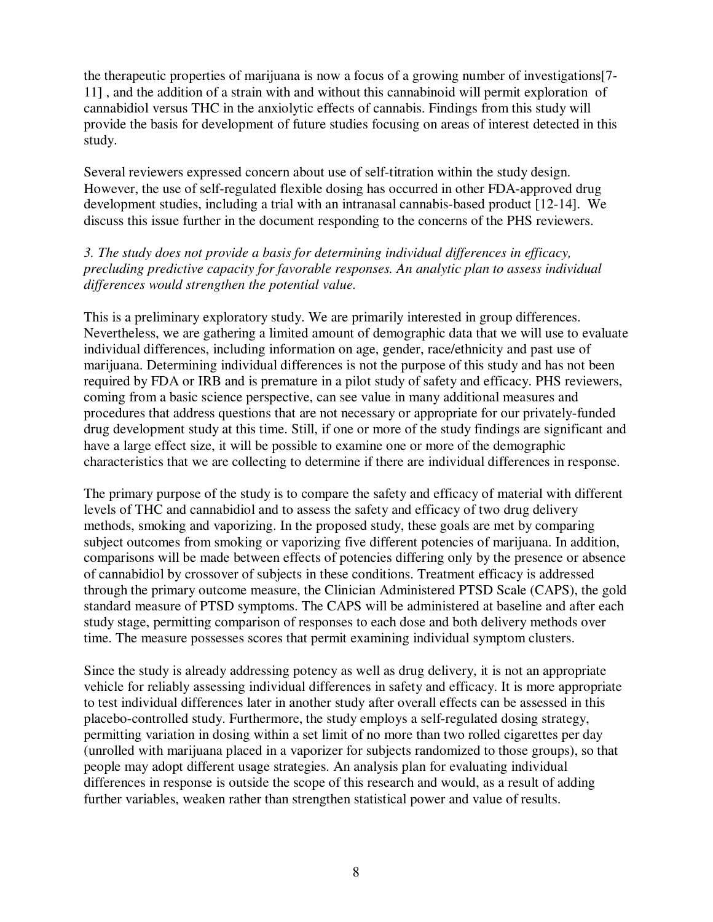the therapeutic properties of marijuana is now a focus of a growing number of investigations[7- 11] , and the addition of a strain with and without this cannabinoid will permit exploration of cannabidiol versus THC in the anxiolytic effects of cannabis. Findings from this study will provide the basis for development of future studies focusing on areas of interest detected in this study.

Several reviewers expressed concern about use of self-titration within the study design. However, the use of self-regulated flexible dosing has occurred in other FDA-approved drug development studies, including a trial with an intranasal cannabis-based product [12-14]. We discuss this issue further in the document responding to the concerns of the PHS reviewers.

# *3. The study does not provide a basis for determining individual differences in efficacy, precluding predictive capacity for favorable responses. An analytic plan to assess individual differences would strengthen the potential value.*

This is a preliminary exploratory study. We are primarily interested in group differences. Nevertheless, we are gathering a limited amount of demographic data that we will use to evaluate individual differences, including information on age, gender, race/ethnicity and past use of marijuana. Determining individual differences is not the purpose of this study and has not been required by FDA or IRB and is premature in a pilot study of safety and efficacy. PHS reviewers, coming from a basic science perspective, can see value in many additional measures and procedures that address questions that are not necessary or appropriate for our privately-funded drug development study at this time. Still, if one or more of the study findings are significant and have a large effect size, it will be possible to examine one or more of the demographic characteristics that we are collecting to determine if there are individual differences in response.

The primary purpose of the study is to compare the safety and efficacy of material with different levels of THC and cannabidiol and to assess the safety and efficacy of two drug delivery methods, smoking and vaporizing. In the proposed study, these goals are met by comparing subject outcomes from smoking or vaporizing five different potencies of marijuana. In addition, comparisons will be made between effects of potencies differing only by the presence or absence of cannabidiol by crossover of subjects in these conditions. Treatment efficacy is addressed through the primary outcome measure, the Clinician Administered PTSD Scale (CAPS), the gold standard measure of PTSD symptoms. The CAPS will be administered at baseline and after each study stage, permitting comparison of responses to each dose and both delivery methods over time. The measure possesses scores that permit examining individual symptom clusters.

Since the study is already addressing potency as well as drug delivery, it is not an appropriate vehicle for reliably assessing individual differences in safety and efficacy. It is more appropriate to test individual differences later in another study after overall effects can be assessed in this placebo-controlled study. Furthermore, the study employs a self-regulated dosing strategy, permitting variation in dosing within a set limit of no more than two rolled cigarettes per day (unrolled with marijuana placed in a vaporizer for subjects randomized to those groups), so that people may adopt different usage strategies. An analysis plan for evaluating individual differences in response is outside the scope of this research and would, as a result of adding further variables, weaken rather than strengthen statistical power and value of results.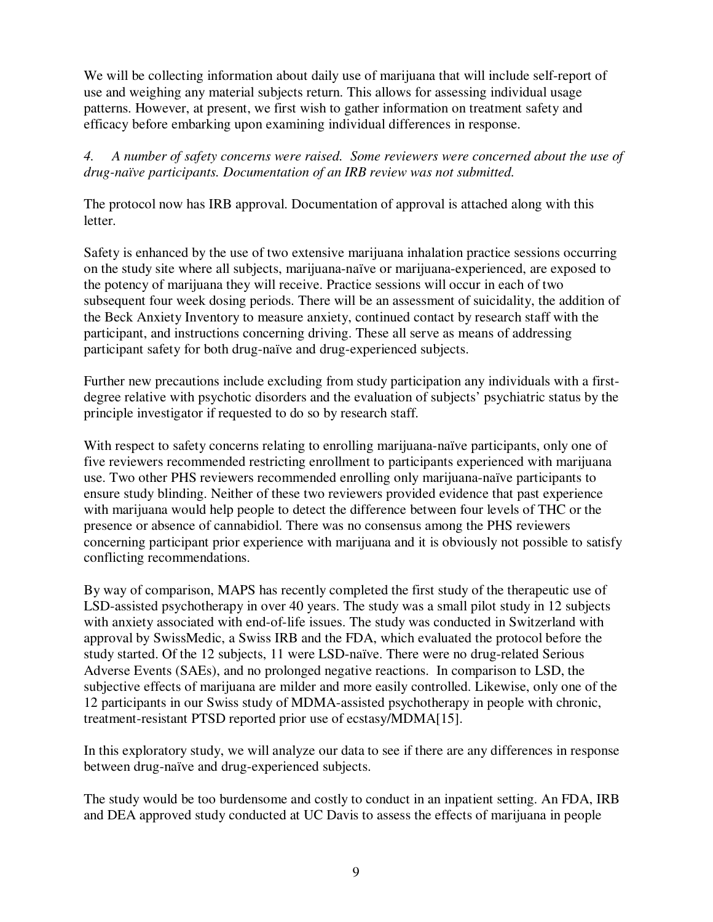We will be collecting information about daily use of marijuana that will include self-report of use and weighing any material subjects return. This allows for assessing individual usage patterns. However, at present, we first wish to gather information on treatment safety and efficacy before embarking upon examining individual differences in response.

*4. A number of safety concerns were raised. Some reviewers were concerned about the use of drug-naïve participants. Documentation of an IRB review was not submitted.* 

The protocol now has IRB approval. Documentation of approval is attached along with this letter.

Safety is enhanced by the use of two extensive marijuana inhalation practice sessions occurring on the study site where all subjects, marijuana-naïve or marijuana-experienced, are exposed to the potency of marijuana they will receive. Practice sessions will occur in each of two subsequent four week dosing periods. There will be an assessment of suicidality, the addition of the Beck Anxiety Inventory to measure anxiety, continued contact by research staff with the participant, and instructions concerning driving. These all serve as means of addressing participant safety for both drug-naïve and drug-experienced subjects.

Further new precautions include excluding from study participation any individuals with a firstdegree relative with psychotic disorders and the evaluation of subjects' psychiatric status by the principle investigator if requested to do so by research staff.

With respect to safety concerns relating to enrolling marijuana-naïve participants, only one of five reviewers recommended restricting enrollment to participants experienced with marijuana use. Two other PHS reviewers recommended enrolling only marijuana-naïve participants to ensure study blinding. Neither of these two reviewers provided evidence that past experience with marijuana would help people to detect the difference between four levels of THC or the presence or absence of cannabidiol. There was no consensus among the PHS reviewers concerning participant prior experience with marijuana and it is obviously not possible to satisfy conflicting recommendations.

By way of comparison, MAPS has recently completed the first study of the therapeutic use of LSD-assisted psychotherapy in over 40 years. The study was a small pilot study in 12 subjects with anxiety associated with end-of-life issues. The study was conducted in Switzerland with approval by SwissMedic, a Swiss IRB and the FDA, which evaluated the protocol before the study started. Of the 12 subjects, 11 were LSD-naïve. There were no drug-related Serious Adverse Events (SAEs), and no prolonged negative reactions. In comparison to LSD, the subjective effects of marijuana are milder and more easily controlled. Likewise, only one of the 12 participants in our Swiss study of MDMA-assisted psychotherapy in people with chronic, treatment-resistant PTSD reported prior use of ecstasy/MDMA[15].

In this exploratory study, we will analyze our data to see if there are any differences in response between drug-naïve and drug-experienced subjects.

The study would be too burdensome and costly to conduct in an inpatient setting. An FDA, IRB and DEA approved study conducted at UC Davis to assess the effects of marijuana in people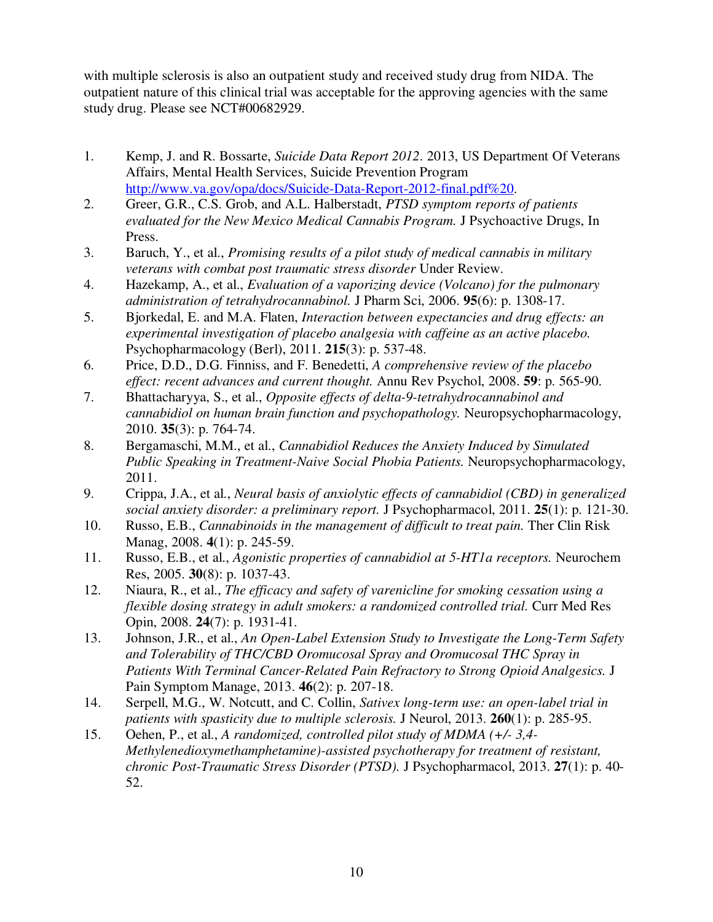with multiple sclerosis is also an outpatient study and received study drug from NIDA. The outpatient nature of this clinical trial was acceptable for the approving agencies with the same study drug. Please see NCT#00682929.

- 1. Kemp, J. and R. Bossarte, *Suicide Data Report 2012*. 2013, US Department Of Veterans Affairs, Mental Health Services, Suicide Prevention Program http://www.va.gov/opa/docs/Suicide-Data-Report-2012-final.pdf%20.
- 2. Greer, G.R., C.S. Grob, and A.L. Halberstadt, *PTSD symptom reports of patients evaluated for the New Mexico Medical Cannabis Program.* J Psychoactive Drugs, In Press.
- 3. Baruch, Y., et al., *Promising results of a pilot study of medical cannabis in military veterans with combat post traumatic stress disorder* Under Review.
- 4. Hazekamp, A., et al., *Evaluation of a vaporizing device (Volcano) for the pulmonary administration of tetrahydrocannabinol.* J Pharm Sci, 2006. **95**(6): p. 1308-17.
- 5. Bjorkedal, E. and M.A. Flaten, *Interaction between expectancies and drug effects: an experimental investigation of placebo analgesia with caffeine as an active placebo.* Psychopharmacology (Berl), 2011. **215**(3): p. 537-48.
- 6. Price, D.D., D.G. Finniss, and F. Benedetti, *A comprehensive review of the placebo effect: recent advances and current thought.* Annu Rev Psychol, 2008. **59**: p. 565-90.
- 7. Bhattacharyya, S., et al., *Opposite effects of delta-9-tetrahydrocannabinol and cannabidiol on human brain function and psychopathology.* Neuropsychopharmacology, 2010. **35**(3): p. 764-74.
- 8. Bergamaschi, M.M., et al., *Cannabidiol Reduces the Anxiety Induced by Simulated Public Speaking in Treatment-Naive Social Phobia Patients.* Neuropsychopharmacology, 2011.
- 9. Crippa, J.A., et al., *Neural basis of anxiolytic effects of cannabidiol (CBD) in generalized social anxiety disorder: a preliminary report.* J Psychopharmacol, 2011. **25**(1): p. 121-30.
- 10. Russo, E.B., *Cannabinoids in the management of difficult to treat pain.* Ther Clin Risk Manag, 2008. **4**(1): p. 245-59.
- 11. Russo, E.B., et al., *Agonistic properties of cannabidiol at 5-HT1a receptors.* Neurochem Res, 2005. **30**(8): p. 1037-43.
- 12. Niaura, R., et al., *The efficacy and safety of varenicline for smoking cessation using a flexible dosing strategy in adult smokers: a randomized controlled trial.* Curr Med Res Opin, 2008. **24**(7): p. 1931-41.
- 13. Johnson, J.R., et al., *An Open-Label Extension Study to Investigate the Long-Term Safety and Tolerability of THC/CBD Oromucosal Spray and Oromucosal THC Spray in Patients With Terminal Cancer-Related Pain Refractory to Strong Opioid Analgesics.* J Pain Symptom Manage, 2013. **46**(2): p. 207-18.
- 14. Serpell, M.G., W. Notcutt, and C. Collin, *Sativex long-term use: an open-label trial in patients with spasticity due to multiple sclerosis.* J Neurol, 2013. **260**(1): p. 285-95.
- 15. Oehen, P., et al., *A randomized, controlled pilot study of MDMA (+/- 3,4- Methylenedioxymethamphetamine)-assisted psychotherapy for treatment of resistant, chronic Post-Traumatic Stress Disorder (PTSD).* J Psychopharmacol, 2013. **27**(1): p. 40- 52.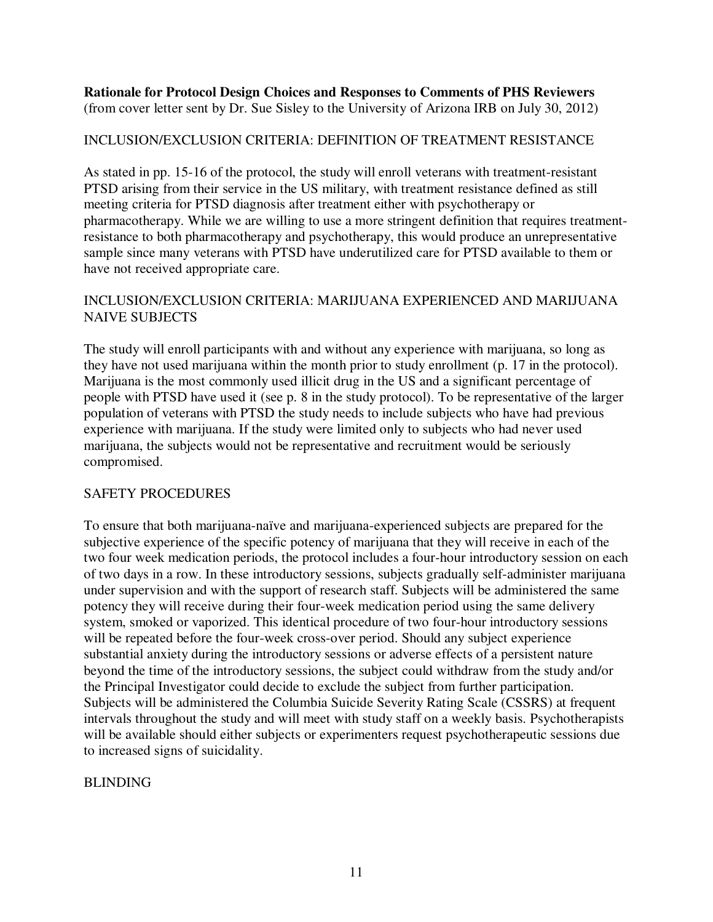**Rationale for Protocol Design Choices and Responses to Comments of PHS Reviewers**  (from cover letter sent by Dr. Sue Sisley to the University of Arizona IRB on July 30, 2012)

## INCLUSION/EXCLUSION CRITERIA: DEFINITION OF TREATMENT RESISTANCE

As stated in pp. 15-16 of the protocol, the study will enroll veterans with treatment-resistant PTSD arising from their service in the US military, with treatment resistance defined as still meeting criteria for PTSD diagnosis after treatment either with psychotherapy or pharmacotherapy. While we are willing to use a more stringent definition that requires treatmentresistance to both pharmacotherapy and psychotherapy, this would produce an unrepresentative sample since many veterans with PTSD have underutilized care for PTSD available to them or have not received appropriate care.

## INCLUSION/EXCLUSION CRITERIA: MARIJUANA EXPERIENCED AND MARIJUANA NAIVE SUBJECTS

The study will enroll participants with and without any experience with marijuana, so long as they have not used marijuana within the month prior to study enrollment (p. 17 in the protocol). Marijuana is the most commonly used illicit drug in the US and a significant percentage of people with PTSD have used it (see p. 8 in the study protocol). To be representative of the larger population of veterans with PTSD the study needs to include subjects who have had previous experience with marijuana. If the study were limited only to subjects who had never used marijuana, the subjects would not be representative and recruitment would be seriously compromised.

# SAFETY PROCEDURES

To ensure that both marijuana-naïve and marijuana-experienced subjects are prepared for the subjective experience of the specific potency of marijuana that they will receive in each of the two four week medication periods, the protocol includes a four-hour introductory session on each of two days in a row. In these introductory sessions, subjects gradually self-administer marijuana under supervision and with the support of research staff. Subjects will be administered the same potency they will receive during their four-week medication period using the same delivery system, smoked or vaporized. This identical procedure of two four-hour introductory sessions will be repeated before the four-week cross-over period. Should any subject experience substantial anxiety during the introductory sessions or adverse effects of a persistent nature beyond the time of the introductory sessions, the subject could withdraw from the study and/or the Principal Investigator could decide to exclude the subject from further participation. Subjects will be administered the Columbia Suicide Severity Rating Scale (CSSRS) at frequent intervals throughout the study and will meet with study staff on a weekly basis. Psychotherapists will be available should either subjects or experimenters request psychotherapeutic sessions due to increased signs of suicidality.

### BLINDING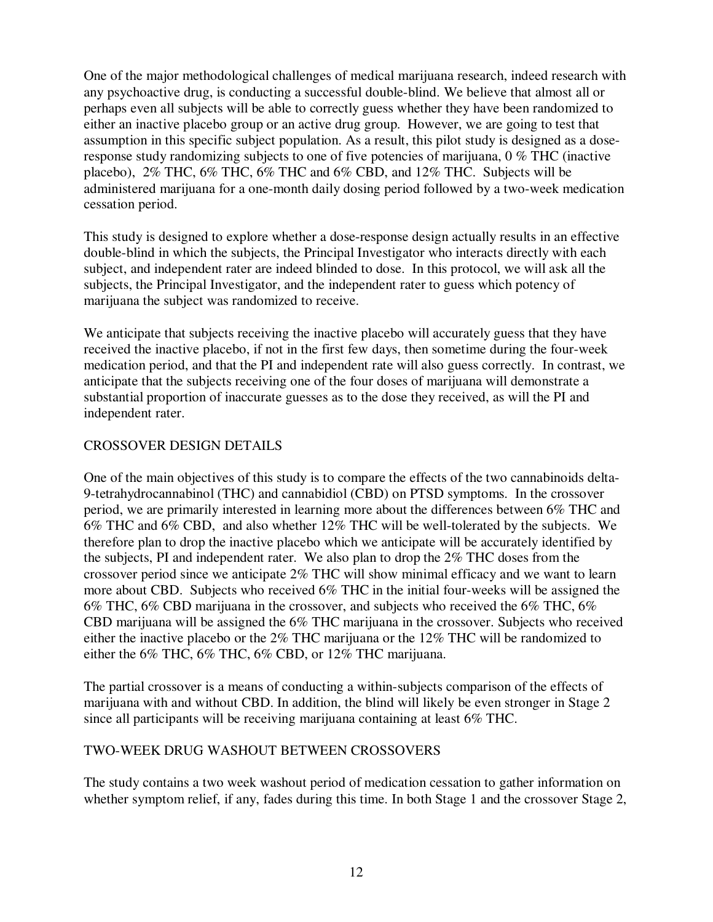One of the major methodological challenges of medical marijuana research, indeed research with any psychoactive drug, is conducting a successful double-blind. We believe that almost all or perhaps even all subjects will be able to correctly guess whether they have been randomized to either an inactive placebo group or an active drug group. However, we are going to test that assumption in this specific subject population. As a result, this pilot study is designed as a doseresponse study randomizing subjects to one of five potencies of marijuana, 0 % THC (inactive placebo), 2% THC, 6% THC, 6% THC and 6% CBD, and 12% THC. Subjects will be administered marijuana for a one-month daily dosing period followed by a two-week medication cessation period.

This study is designed to explore whether a dose-response design actually results in an effective double-blind in which the subjects, the Principal Investigator who interacts directly with each subject, and independent rater are indeed blinded to dose. In this protocol, we will ask all the subjects, the Principal Investigator, and the independent rater to guess which potency of marijuana the subject was randomized to receive.

We anticipate that subjects receiving the inactive placebo will accurately guess that they have received the inactive placebo, if not in the first few days, then sometime during the four-week medication period, and that the PI and independent rate will also guess correctly. In contrast, we anticipate that the subjects receiving one of the four doses of marijuana will demonstrate a substantial proportion of inaccurate guesses as to the dose they received, as will the PI and independent rater.

# CROSSOVER DESIGN DETAILS

One of the main objectives of this study is to compare the effects of the two cannabinoids delta-9-tetrahydrocannabinol (THC) and cannabidiol (CBD) on PTSD symptoms. In the crossover period, we are primarily interested in learning more about the differences between 6% THC and 6% THC and 6% CBD, and also whether 12% THC will be well-tolerated by the subjects. We therefore plan to drop the inactive placebo which we anticipate will be accurately identified by the subjects, PI and independent rater. We also plan to drop the 2% THC doses from the crossover period since we anticipate 2% THC will show minimal efficacy and we want to learn more about CBD. Subjects who received 6% THC in the initial four-weeks will be assigned the 6% THC, 6% CBD marijuana in the crossover, and subjects who received the 6% THC, 6% CBD marijuana will be assigned the 6% THC marijuana in the crossover. Subjects who received either the inactive placebo or the 2% THC marijuana or the 12% THC will be randomized to either the 6% THC, 6% THC, 6% CBD, or 12% THC marijuana.

The partial crossover is a means of conducting a within-subjects comparison of the effects of marijuana with and without CBD. In addition, the blind will likely be even stronger in Stage 2 since all participants will be receiving marijuana containing at least 6% THC.

### TWO-WEEK DRUG WASHOUT BETWEEN CROSSOVERS

The study contains a two week washout period of medication cessation to gather information on whether symptom relief, if any, fades during this time. In both Stage 1 and the crossover Stage 2,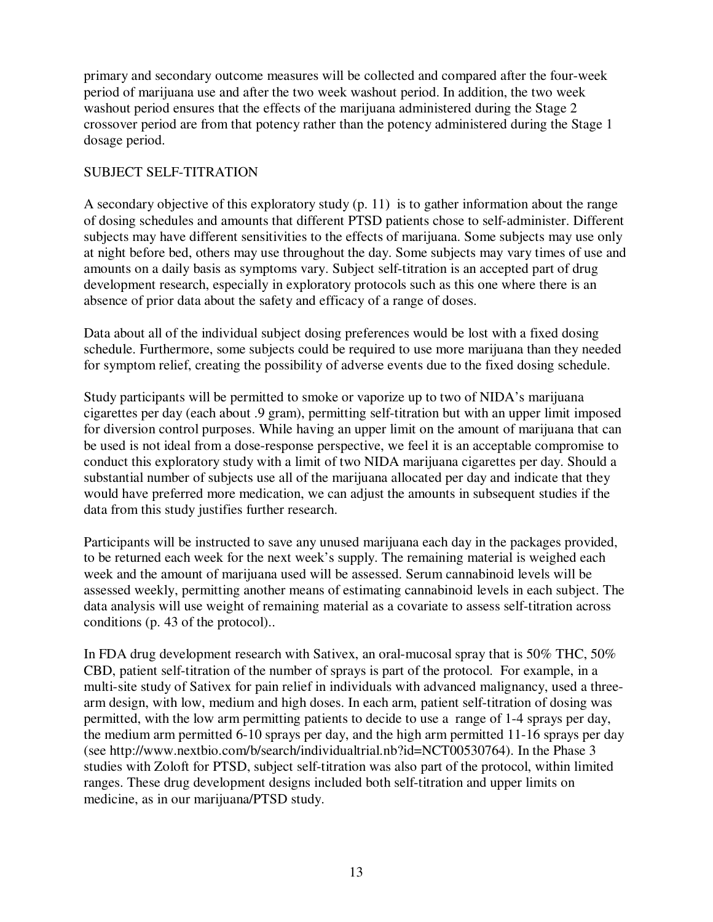primary and secondary outcome measures will be collected and compared after the four-week period of marijuana use and after the two week washout period. In addition, the two week washout period ensures that the effects of the marijuana administered during the Stage 2 crossover period are from that potency rather than the potency administered during the Stage 1 dosage period.

## SUBJECT SELF-TITRATION

A secondary objective of this exploratory study (p. 11) is to gather information about the range of dosing schedules and amounts that different PTSD patients chose to self-administer. Different subjects may have different sensitivities to the effects of marijuana. Some subjects may use only at night before bed, others may use throughout the day. Some subjects may vary times of use and amounts on a daily basis as symptoms vary. Subject self-titration is an accepted part of drug development research, especially in exploratory protocols such as this one where there is an absence of prior data about the safety and efficacy of a range of doses.

Data about all of the individual subject dosing preferences would be lost with a fixed dosing schedule. Furthermore, some subjects could be required to use more marijuana than they needed for symptom relief, creating the possibility of adverse events due to the fixed dosing schedule.

Study participants will be permitted to smoke or vaporize up to two of NIDA's marijuana cigarettes per day (each about .9 gram), permitting self-titration but with an upper limit imposed for diversion control purposes. While having an upper limit on the amount of marijuana that can be used is not ideal from a dose-response perspective, we feel it is an acceptable compromise to conduct this exploratory study with a limit of two NIDA marijuana cigarettes per day. Should a substantial number of subjects use all of the marijuana allocated per day and indicate that they would have preferred more medication, we can adjust the amounts in subsequent studies if the data from this study justifies further research.

Participants will be instructed to save any unused marijuana each day in the packages provided, to be returned each week for the next week's supply. The remaining material is weighed each week and the amount of marijuana used will be assessed. Serum cannabinoid levels will be assessed weekly, permitting another means of estimating cannabinoid levels in each subject. The data analysis will use weight of remaining material as a covariate to assess self-titration across conditions (p. 43 of the protocol)..

In FDA drug development research with Sativex, an oral-mucosal spray that is 50% THC, 50% CBD, patient self-titration of the number of sprays is part of the protocol. For example, in a multi-site study of Sativex for pain relief in individuals with advanced malignancy, used a threearm design, with low, medium and high doses. In each arm, patient self-titration of dosing was permitted, with the low arm permitting patients to decide to use a range of 1-4 sprays per day, the medium arm permitted 6-10 sprays per day, and the high arm permitted 11-16 sprays per day (see http://www.nextbio.com/b/search/individualtrial.nb?id=NCT00530764). In the Phase 3 studies with Zoloft for PTSD, subject self-titration was also part of the protocol, within limited ranges. These drug development designs included both self-titration and upper limits on medicine, as in our marijuana/PTSD study.